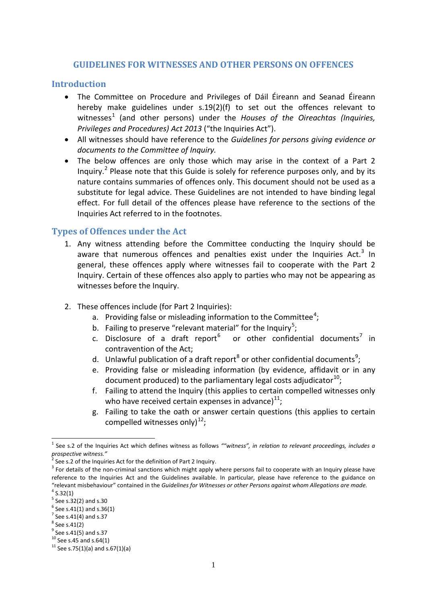# **GUIDELINES FOR WITNESSES AND OTHER PERSONS ON OFFENCES**

## **Introduction**

- The Committee on Procedure and Privileges of Dáil Éireann and Seanad Éireann hereby make guidelines under s.19(2)(f) to set out the offences relevant to witnesses<sup>[1](#page-0-0)</sup> (and other persons) under the *Houses of the Oireachtas (Inquiries, Privileges and Procedures) Act 2013* ("the Inquiries Act").
- All witnesses should have reference to the *Guidelines for persons giving evidence or documents to the Committee of Inquiry.*
- The below offences are only those which may arise in the context of a Part 2 Inquiry.<sup>[2](#page-0-1)</sup> Please note that this Guide is solely for reference purposes only, and by its nature contains summaries of offences only. This document should not be used as a substitute for legal advice. These Guidelines are not intended to have binding legal effect. For full detail of the offences please have reference to the sections of the Inquiries Act referred to in the footnotes.

### **Types of Offences under the Act**

- 1. Any witness attending before the Committee conducting the Inquiry should be aware that numerous offences and penalties exist under the Inquiries Act.<sup>[3](#page-0-2)</sup> In general, these offences apply where witnesses fail to cooperate with the Part 2 Inquiry. Certain of these offences also apply to parties who may not be appearing as witnesses before the Inquiry.
- 2. These offences include (for Part 2 Inquiries):
	- a. Providing false or misleading information to the Committee<sup>[4](#page-0-3)</sup>;
	- b. Failing to preserve "relevant material" for the Inquiry<sup>[5](#page-0-4)</sup>;
	- c. Disclosure of a draft report<sup>[6](#page-0-5)</sup> or other confidential documents<sup>[7](#page-0-6)</sup> in contravention of the Act;
	- d. Unlawful publication of a draft report<sup>[8](#page-0-7)</sup> or other confidential documents<sup>[9](#page-0-8)</sup>;
	- e. Providing false or misleading information (by evidence, affidavit or in any document produced) to the parliamentary legal costs adjudicator<sup>[10](#page-0-9)</sup>;
	- f. Failing to attend the Inquiry (this applies to certain compelled witnesses only who have received certain expenses in advance) $^{11}$  $^{11}$  $^{11}$ ;
	- g. Failing to take the oath or answer certain questions (this applies to certain compelled witnesses only)<sup>[12](#page-0-2)</sup>;

-

<span id="page-0-0"></span><sup>1</sup> See s.2 of the Inquiries Act which defines witness as follows *""witness", in relation to relevant proceedings, includes a prospective witness."*<br><sup>2</sup> See s.2 of the Inquiries Act for the definition of Part 2 Inquiry.

<span id="page-0-1"></span>

<span id="page-0-2"></span><sup>&</sup>lt;sup>3</sup> For details of the non-criminal sanctions which might apply where persons fail to cooperate with an Inquiry please have reference to the Inquiries Act and the Guidelines available. In particular, please have reference to the guidance on "relevant misbehaviour" contained in the *Guidelines for Witnesses or other Persons against whom Allegations are made.* <sup>4</sup> S.32(1)

<span id="page-0-4"></span><span id="page-0-3"></span> $<sup>5</sup>$  See s.32(2) and s.30</sup>

<span id="page-0-5"></span> $6$  See s.41(1) and s.36(1)

<span id="page-0-6"></span> $7^7$  See s.41(4) and s.37<br><sup>8</sup> See s.41(2)

<span id="page-0-8"></span><span id="page-0-7"></span><sup>&</sup>lt;sup>9</sup> See s.41(5) and s.37<br><sup>10</sup> See s.45 and s.64(1)

<span id="page-0-10"></span><span id="page-0-9"></span> $11$  See s.75(1)(a) and s.67(1)(a)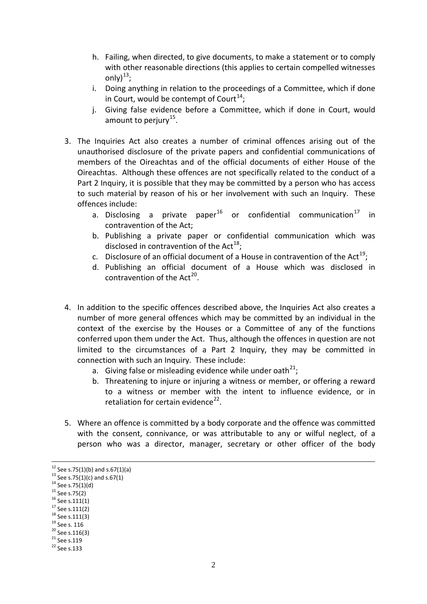- h. Failing, when directed, to give documents, to make a statement or to comply with other reasonable directions (this applies to certain compelled witnesses only) $^{13}$  $^{13}$  $^{13}$ ;
- i. Doing anything in relation to the proceedings of a Committee, which if done in Court, would be contempt of Court $^{14}$  $^{14}$  $^{14}$ ;
- j. Giving false evidence before a Committee, which if done in Court, would amount to periury<sup>15</sup>.
- 3. The Inquiries Act also creates a number of criminal offences arising out of the unauthorised disclosure of the private papers and confidential communications of members of the Oireachtas and of the official documents of either House of the Oireachtas. Although these offences are not specifically related to the conduct of a Part 2 Inquiry, it is possible that they may be committed by a person who has access to such material by reason of his or her involvement with such an Inquiry. These offences include:
	- a. Disclosing a private paper<sup>[16](#page-1-3)</sup> or confidential communication<sup>[17](#page-1-4)</sup> in contravention of the Act;
	- b. Publishing a private paper or confidential communication which was disclosed in contravention of the Act<sup>[18](#page-1-5)</sup>;
	- c. Disclosure of an official document of a House in contravention of the Act<sup>[19](#page-1-6)</sup>;
	- d. Publishing an official document of a House which was disclosed in contravention of the  $Act^{20}$ .
- 4. In addition to the specific offences described above, the Inquiries Act also creates a number of more general offences which may be committed by an individual in the context of the exercise by the Houses or a Committee of any of the functions conferred upon them under the Act. Thus, although the offences in question are not limited to the circumstances of a Part 2 Inquiry, they may be committed in connection with such an Inquiry. These include:
	- a. Giving false or misleading evidence while under oath<sup>[21](#page-1-8)</sup>;
	- b. Threatening to injure or injuring a witness or member, or offering a reward to a witness or member with the intent to influence evidence, or in retaliation for certain evidence<sup>[22](#page-1-9)</sup>.
- 5. Where an offence is committed by a body corporate and the offence was committed with the consent, connivance, or was attributable to any or wilful neglect, of a person who was a director, manager, secretary or other officer of the body

 $12$  See s.75(1)(b) and s.67(1)(a)

<span id="page-1-0"></span><sup>&</sup>lt;sup>13</sup> See s.75(1)(c) and s.67(1)<br><sup>14</sup> See s.75(2)<br><sup>15</sup> See s.75(2)<br><sup>16</sup> See s.111(1)<br><sup>17</sup> See s.111(2)<br><sup>18</sup> See s.111(3)<br><sup>19</sup> See s. 116<br><sup>20</sup> See s.116(3)<br><sup>21</sup> See s.119<br><sup>22</sup> See s.133

<span id="page-1-1"></span>

<span id="page-1-2"></span>

<span id="page-1-3"></span>

<span id="page-1-4"></span>

<span id="page-1-5"></span>

<span id="page-1-6"></span>

<span id="page-1-7"></span>

<span id="page-1-9"></span><span id="page-1-8"></span>